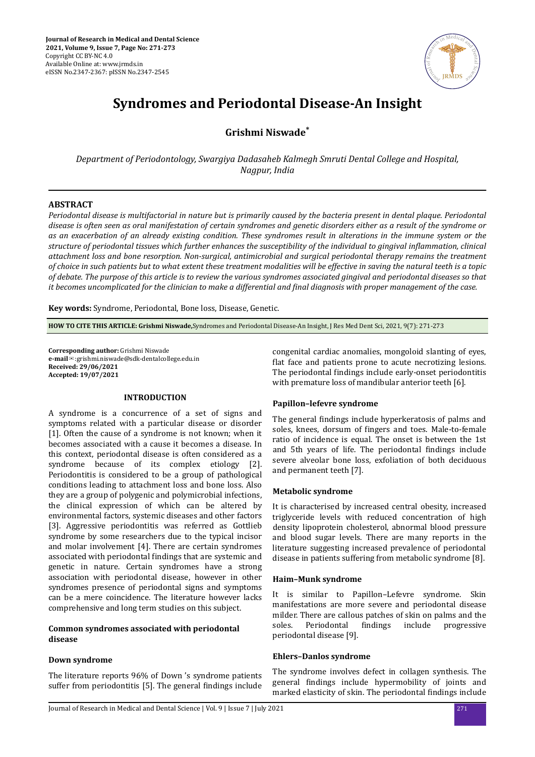

# **Syndromes and Periodontal Disease-An Insight**

**Grishmi Niswade\***

*Department of Periodontology, Swargiya Dadasaheb Kalmegh Smruti Dental College and Hospital, Nagpur, India*

# **ABSTRACT**

*Periodontal disease is multifactorial in nature but is primarily caused by the bacteria present in dental plaque. Periodontal disease is often seen as oral manifestation of certain syndromes and genetic disorders either as a result of the syndrome or as an exacerbation of an already existing condition. These syndromes result in alterations in the immune system or the structure of periodontal tissues which further enhances the susceptibility of the individual to gingival inflammation, clinical attachment loss and bone resorption. Non-surgical, antimicrobial and surgical periodontal therapy remains the treatment of choice in such patients but to what extent these treatment modalities will be effective in saving the natural teeth is a topic of debate. The purpose of this article is to review the various syndromes associated gingival and periodontal diseases so that it becomes uncomplicated for the clinician to make a differential and final diagnosis with proper management of the case.* 

**Key words:** Syndrome, Periodontal, Bone loss, Disease, Genetic.

**HOW TO CITE THIS ARTICLE: Grishmi Niswade,**Syndromes and Periodontal Disease-An Insight, J Res Med Dent Sci, 2021, 9(7): 271-273

**Corresponding author:** Grishmi Niswade **e-mail**✉:grishmi.niswade@sdk-dentalcollege.edu.in **Received: 29/06/2021 Accepted: 19/07/2021** 

## **INTRODUCTION**

A syndrome is a concurrence of a set of signs and symptoms related with a particular disease or disorder [1]. Often the cause of a syndrome is not known; when it becomes associated with a cause it becomes a disease. In this context, periodontal disease is often considered as a syndrome because of its complex etiology [2]. Periodontitis is considered to be a group of pathological conditions leading to attachment loss and bone loss. Also they are a group of polygenic and polymicrobial infections, the clinical expression of which can be altered by environmental factors, systemic diseases and other factors [3]. Aggressive periodontitis was referred as Gottlieb syndrome by some researchers due to the typical incisor and molar involvement [4]. There are certain syndromes associated with periodontal findings that are systemic and genetic in nature. Certain syndromes have a strong association with periodontal disease, however in other syndromes presence of periodontal signs and symptoms can be a mere coincidence. The literature however lacks comprehensive and long term studies on this subject.

# **Common syndromes associated with periodontal disease**

# **Down syndrome**

The literature reports 96% of Down 's syndrome patients suffer from periodontitis [5]. The general findings include congenital cardiac anomalies, mongoloid slanting of eyes, flat face and patients prone to acute necrotizing lesions. The periodontal findings include early-onset periodontitis with premature loss of mandibular anterior teeth [6].

# **Papillon–lefevre syndrome**

The general findings include hyperkeratosis of palms and soles, knees, dorsum of fingers and toes. Male-to-female ratio of incidence is equal. The onset is between the 1st and 5th years of life. The periodontal findings include severe alveolar bone loss, exfoliation of both deciduous and permanent teeth [7].

# **Metabolic syndrome**

It is characterised by increased central obesity, increased triglyceride levels with reduced concentration of high density lipoprotein cholesterol, abnormal blood pressure and blood sugar levels. There are many reports in the literature suggesting increased prevalence of periodontal disease in patients suffering from metabolic syndrome [8].

#### **Haim–Munk syndrome**

It is similar to Papillon–Lefevre syndrome. Skin manifestations are more severe and periodontal disease milder. There are callous patches of skin on palms and the soles. Periodontal findings include progressive periodontal disease [9].

# **Ehlers–Danlos syndrome**

The syndrome involves defect in collagen synthesis. The general findings include hypermobility of joints and marked elasticity of skin. The periodontal findings include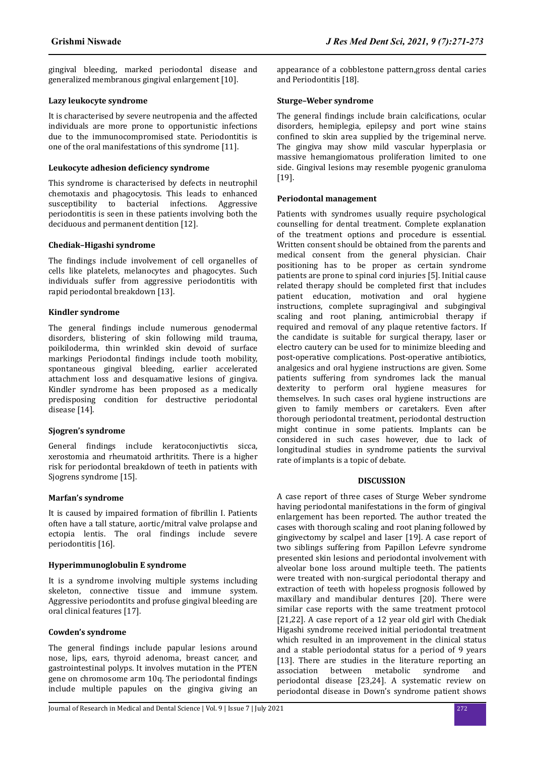gingival bleeding, marked periodontal disease and generalized membranous gingival enlargement [10].

# **Lazy leukocyte syndrome**

It is characterised by severe neutropenia and the affected individuals are more prone to opportunistic infections due to the immunocompromised state. Periodontitis is one of the oral manifestations of this syndrome [11].

# **Leukocyte adhesion deficiency syndrome**

This syndrome is characterised by defects in neutrophil chemotaxis and phagocytosis. This leads to enhanced susceptibility to bacterial infections. Aggressive periodontitis is seen in these patients involving both the deciduous and permanent dentition [12].

# **Chediak–Higashi syndrome**

The findings include involvement of cell organelles of cells like platelets, melanocytes and phagocytes. Such individuals suffer from aggressive periodontitis with rapid periodontal breakdown [13].

## **Kindler syndrome**

The general findings include numerous genodermal disorders, blistering of skin following mild trauma, poikiloderma, thin wrinkled skin devoid of surface markings Periodontal findings include tooth mobility, spontaneous gingival bleeding, earlier accelerated attachment loss and desquamative lesions of gingiva. Kindler syndrome has been proposed as a medically predisposing condition for destructive periodontal disease [14].

# **Sjogren's syndrome**

General findings include keratoconjuctivtis sicca, xerostomia and rheumatoid arthritits. There is a higher risk for periodontal breakdown of teeth in patients with Sjogrens syndrome [15].

# **Marfan's syndrome**

It is caused by impaired formation of fibrillin I. Patients often have a tall stature, aortic/mitral valve prolapse and ectopia lentis. The oral findings include severe periodontitis [16].

# **Hyperimmunoglobulin E syndrome**

It is a syndrome involving multiple systems including skeleton, connective tissue and immune system. Aggressive periodontits and profuse gingival bleeding are oral clinical features [17].

#### **Cowden's syndrome**

The general findings include papular lesions around nose, lips, ears, thyroid adenoma, breast cancer, and gastrointestinal polyps. It involves mutation in the PTEN gene on chromosome arm 10q. The periodontal findings include multiple papules on the gingiva giving an appearance of a cobblestone pattern,gross dental caries and Periodontitis [18].

## **Sturge–Weber syndrome**

The general findings include brain calcifications, ocular disorders, hemiplegia, epilepsy and port wine stains confined to skin area supplied by the trigeminal nerve. The gingiva may show mild vascular hyperplasia or massive hemangiomatous proliferation limited to one side. Gingival lesions may resemble pyogenic granuloma [19].

## **Periodontal management**

Patients with syndromes usually require psychological counselling for dental treatment. Complete explanation of the treatment options and procedure is essential. Written consent should be obtained from the parents and medical consent from the general physician. Chair positioning has to be proper as certain syndrome patients are prone to spinal cord injuries [5]. Initial cause related therapy should be completed first that includes patient education, motivation and oral hygiene instructions, complete supragingival and subgingival scaling and root planing, antimicrobial therapy if required and removal of any plaque retentive factors. If the candidate is suitable for surgical therapy, laser or electro cautery can be used for to minimize bleeding and post-operative complications. Post-operative antibiotics, analgesics and oral hygiene instructions are given. Some patients suffering from syndromes lack the manual dexterity to perform oral hygiene measures for themselves. In such cases oral hygiene instructions are given to family members or caretakers. Even after thorough periodontal treatment, periodontal destruction might continue in some patients. Implants can be considered in such cases however, due to lack of longitudinal studies in syndrome patients the survival rate of implants is a topic of debate.

#### **DISCUSSION**

A case report of three cases of Sturge Weber syndrome having periodontal manifestations in the form of gingival enlargement has been reported. The author treated the cases with thorough scaling and root planing followed by gingivectomy by scalpel and laser [19]. A case report of two siblings suffering from Papillon Lefevre syndrome presented skin lesions and periodontal involvement with alveolar bone loss around multiple teeth. The patients were treated with non-surgical periodontal therapy and extraction of teeth with hopeless prognosis followed by maxillary and mandibular dentures [20]. There were similar case reports with the same treatment protocol [21,22]. A case report of a 12 year old girl with Chediak Higashi syndrome received initial periodontal treatment which resulted in an improvement in the clinical status and a stable periodontal status for a period of 9 years [13]. There are studies in the literature reporting an association between metabolic syndrome and periodontal disease [23,24]. A systematic review on periodontal disease in Down's syndrome patient shows